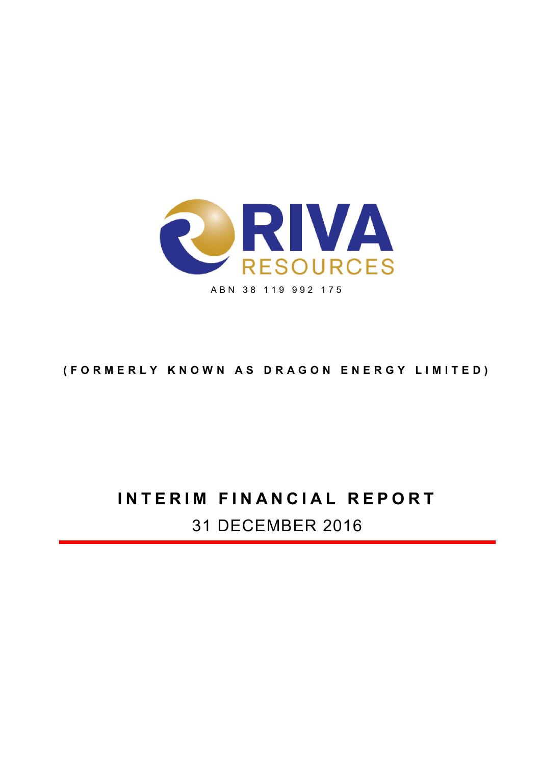

## (FORMERLY KNOWN AS DRAGON ENERGY LIMITED)

# INTERIM FINANCIAL REPORT 31 DECEMBER 2016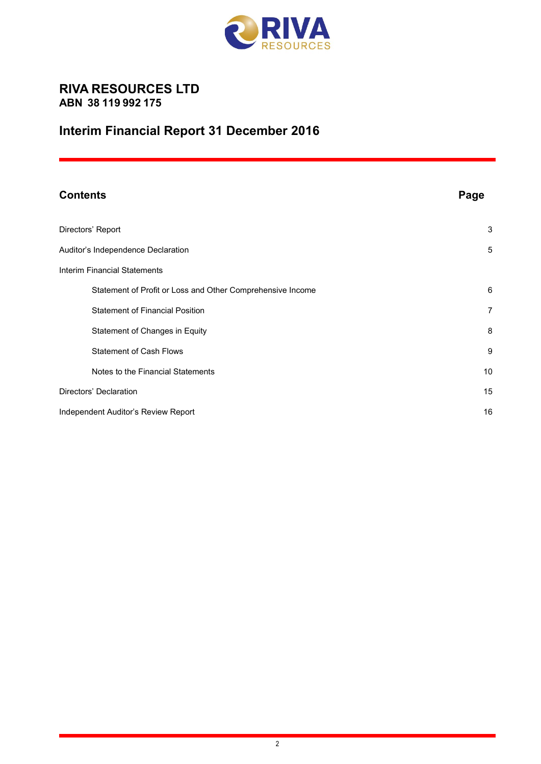

## RIVA RESOURCES LTD ABN 38 119 992 175

## Interim Financial Report 31 December 2016

| <b>Contents</b>                                            | Page           |
|------------------------------------------------------------|----------------|
| Directors' Report                                          | 3              |
| Auditor's Independence Declaration                         | 5              |
| <b>Interim Financial Statements</b>                        |                |
| Statement of Profit or Loss and Other Comprehensive Income | 6              |
| <b>Statement of Financial Position</b>                     | $\overline{7}$ |
| Statement of Changes in Equity                             | 8              |
| <b>Statement of Cash Flows</b>                             | 9              |
| Notes to the Financial Statements                          | 10             |
| Directors' Declaration                                     | 15             |
| Independent Auditor's Review Report                        | 16             |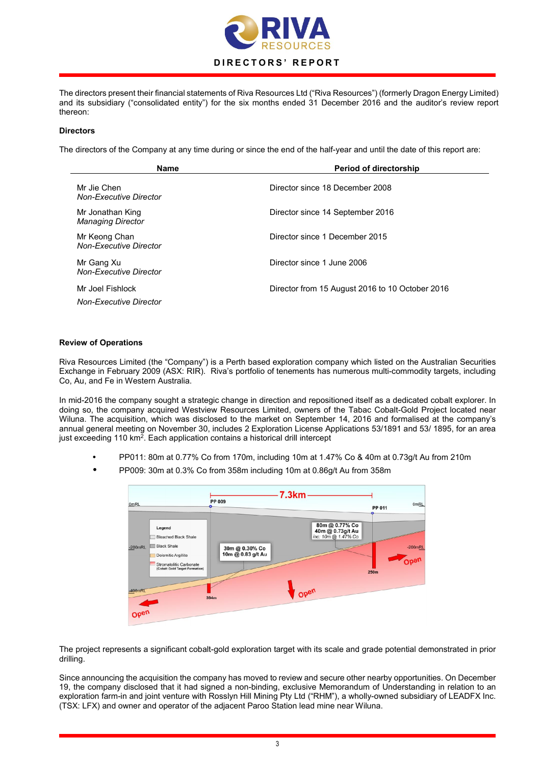

The directors present their financial statements of Riva Resources Ltd ("Riva Resources") (formerly Dragon Energy Limited) and its subsidiary ("consolidated entity") for the six months ended 31 December 2016 and the auditor's review report thereon:

#### **Directors**

The directors of the Company at any time during or since the end of the half-year and until the date of this report are:

| <b>Name</b>                                    | <b>Period of directorship</b>                   |
|------------------------------------------------|-------------------------------------------------|
| Mr Jie Chen<br>Non-Executive Director          | Director since 18 December 2008                 |
| Mr Jonathan King<br><b>Managing Director</b>   | Director since 14 September 2016                |
| Mr Keong Chan<br><b>Non-Executive Director</b> | Director since 1 December 2015                  |
| Mr Gang Xu<br><b>Non-Executive Director</b>    | Director since 1 June 2006                      |
| Mr Joel Fishlock<br>Non-Executive Director     | Director from 15 August 2016 to 10 October 2016 |

#### Review of Operations

Riva Resources Limited (the "Company") is a Perth based exploration company which listed on the Australian Securities Exchange in February 2009 (ASX: RIR). Riva's portfolio of tenements has numerous multi-commodity targets, including Co, Au, and Fe in Western Australia.

In mid-2016 the company sought a strategic change in direction and repositioned itself as a dedicated cobalt explorer. In doing so, the company acquired Westview Resources Limited, owners of the Tabac Cobalt-Gold Project located near Wiluna. The acquisition, which was disclosed to the market on September 14, 2016 and formalised at the company's annual general meeting on November 30, includes 2 Exploration License Applications 53/1891 and 53/ 1895, for an area just exceeding 110  $km^2$ . Each application contains a historical drill intercept

- PP011: 80m at 0.77% Co from 170m, including 10m at 1.47% Co & 40m at 0.73g/t Au from 210m
- PP009: 30m at 0.3% Co from 358m including 10m at 0.86g/t Au from 358m



The project represents a significant cobalt-gold exploration target with its scale and grade potential demonstrated in prior drilling.

Since announcing the acquisition the company has moved to review and secure other nearby opportunities. On December 19, the company disclosed that it had signed a non-binding, exclusive Memorandum of Understanding in relation to an exploration farm-in and joint venture with Rosslyn Hill Mining Pty Ltd ("RHM"), a wholly-owned subsidiary of LEADFX Inc. (TSX: LFX) and owner and operator of the adjacent Paroo Station lead mine near Wiluna.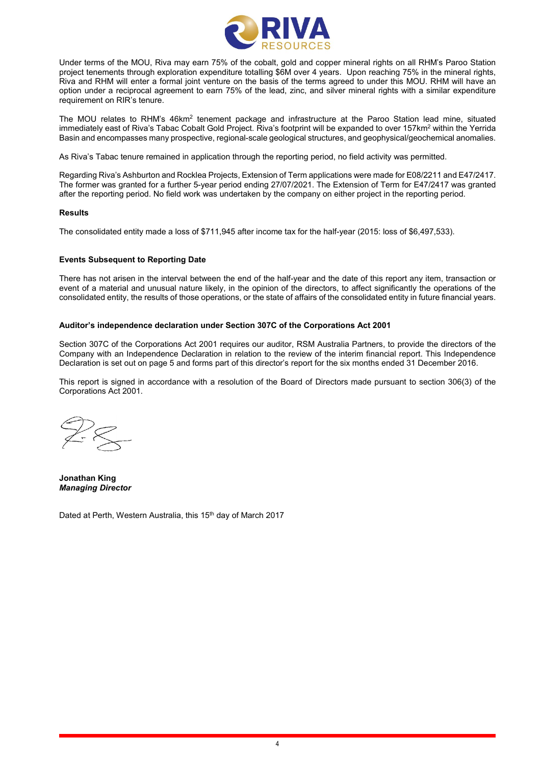

Under terms of the MOU, Riva may earn 75% of the cobalt, gold and copper mineral rights on all RHM's Paroo Station project tenements through exploration expenditure totalling \$6M over 4 years. Upon reaching 75% in the mineral rights, Riva and RHM will enter a formal joint venture on the basis of the terms agreed to under this MOU. RHM will have an option under a reciprocal agreement to earn 75% of the lead, zinc, and silver mineral rights with a similar expenditure requirement on RIR's tenure.

The MOU relates to RHM's 46km<sup>2</sup> tenement package and infrastructure at the Paroo Station lead mine, situated immediately east of Riva's Tabac Cobalt Gold Project. Riva's footprint will be expanded to over 157km<sup>2</sup> within the Yerrida Basin and encompasses many prospective, regional-scale geological structures, and geophysical/geochemical anomalies.

As Riva's Tabac tenure remained in application through the reporting period, no field activity was permitted.

Regarding Riva's Ashburton and Rocklea Projects, Extension of Term applications were made for E08/2211 and E47/2417. The former was granted for a further 5-year period ending 27/07/2021. The Extension of Term for E47/2417 was granted after the reporting period. No field work was undertaken by the company on either project in the reporting period.

#### Results

The consolidated entity made a loss of \$711,945 after income tax for the half-year (2015: loss of \$6,497,533).

#### Events Subsequent to Reporting Date

There has not arisen in the interval between the end of the half-year and the date of this report any item, transaction or event of a material and unusual nature likely, in the opinion of the directors, to affect significantly the operations of the consolidated entity, the results of those operations, or the state of affairs of the consolidated entity in future financial years.

#### Auditor's independence declaration under Section 307C of the Corporations Act 2001

Section 307C of the Corporations Act 2001 requires our auditor, RSM Australia Partners, to provide the directors of the Company with an Independence Declaration in relation to the review of the interim financial report. This Independence Declaration is set out on page 5 and forms part of this director's report for the six months ended 31 December 2016.

This report is signed in accordance with a resolution of the Board of Directors made pursuant to section 306(3) of the Corporations Act 2001.

Jonathan King *Managing Director*

Dated at Perth, Western Australia, this 15<sup>th</sup> day of March 2017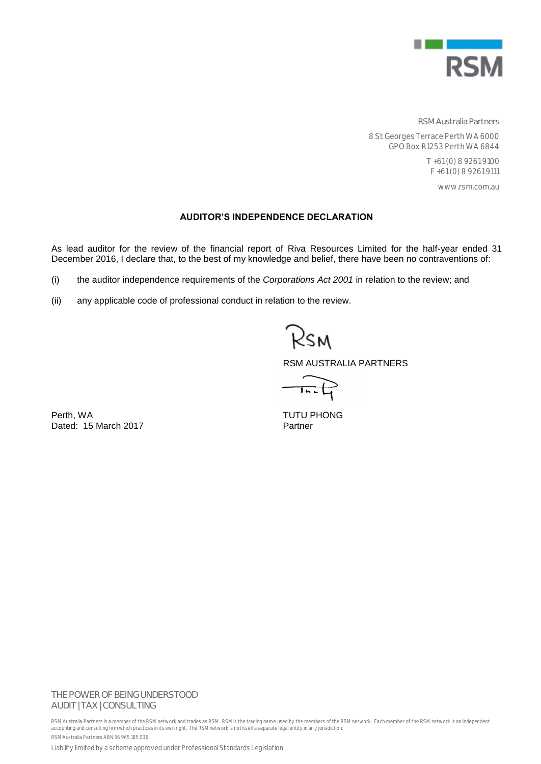

**RSM Australia Partners**

8 St Georges Terrace Perth WA 6000 GPO Box R1253 Perth WA 6844

> T +61 (0) 8 9261 9100 F +61 (0) 8 9261 9111

> > www.rsm.com.au

#### **AUDITOR'S INDEPENDENCE DECLARATION**

As lead auditor for the review of the financial report of Riva Resources Limited for the half-year ended 31 December 2016, I declare that, to the best of my knowledge and belief, there have been no contraventions of:

- (i) the auditor independence requirements of the *Corporations Act 2001* in relation to the review; and
- (ii) any applicable code of professional conduct in relation to the review.

Rsm

RSM AUSTRALIA PARTNERS

 $\overline{1}$ u

Perth, WA<br>
Dated: 15 March 2017<br>
Dated: 15 March 2017 Dated: 15 March 2017

## **THE POWER OF BEING UNDERSTOOD** AUDIT | TAX | CONSULTING

RSM Australia Partners is a member of the RSM network and trades as RSM. RSM is the trading name used by the members of the RSM network. Each member of the RSM network is an independent accounting and consulting firm which practices in its own right. The RSM network is not itself a separate legal entity in an y jurisdiction. RSM Australia Partners ABN 36 965 185 036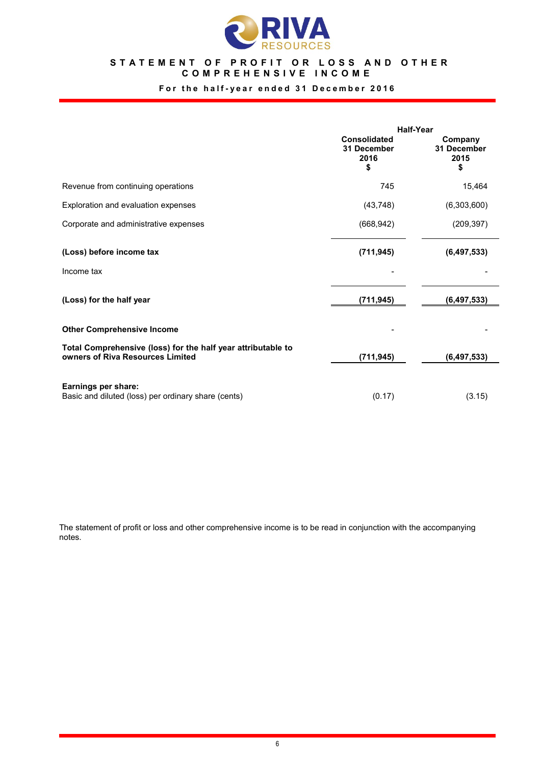

#### STATEMENT OF PROFIT OR LOSS AND OTHER COMPREHENSIVE INCOME

## For the half-year ended 31 December 2016

|                                                                                                  | <b>Half-Year</b>                                 |                                      |  |
|--------------------------------------------------------------------------------------------------|--------------------------------------------------|--------------------------------------|--|
|                                                                                                  | <b>Consolidated</b><br>31 December<br>2016<br>\$ | Company<br>31 December<br>2015<br>\$ |  |
| Revenue from continuing operations                                                               | 745                                              | 15,464                               |  |
| Exploration and evaluation expenses                                                              | (43, 748)                                        | (6,303,600)                          |  |
| Corporate and administrative expenses                                                            | (668, 942)                                       | (209, 397)                           |  |
| (Loss) before income tax                                                                         | (711, 945)                                       | (6, 497, 533)                        |  |
| Income tax                                                                                       |                                                  |                                      |  |
| (Loss) for the half year                                                                         | (711, 945)                                       | (6, 497, 533)                        |  |
| <b>Other Comprehensive Income</b>                                                                |                                                  |                                      |  |
| Total Comprehensive (loss) for the half year attributable to<br>owners of Riva Resources Limited | (711, 945)                                       | (6, 497, 533)                        |  |
| Earnings per share:                                                                              |                                                  |                                      |  |
| Basic and diluted (loss) per ordinary share (cents)                                              | (0.17)                                           | (3.15)                               |  |

The statement of profit or loss and other comprehensive income is to be read in conjunction with the accompanying notes.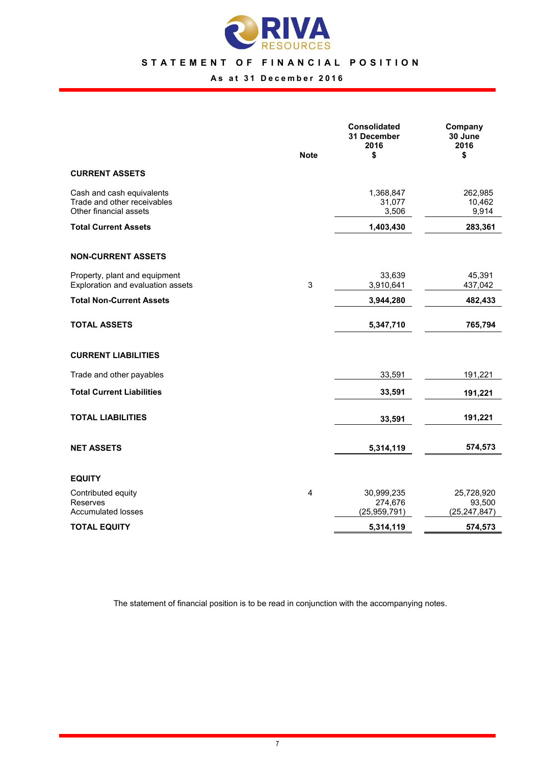

### STATEMENT OF FINANCIAL POSITION

## As at 31 December 2016

|                                                                                    | <b>Note</b> | <b>Consolidated</b><br>31 December<br>2016<br>\$ | Company<br>30 June<br>2016<br>\$       |
|------------------------------------------------------------------------------------|-------------|--------------------------------------------------|----------------------------------------|
| <b>CURRENT ASSETS</b>                                                              |             |                                                  |                                        |
| Cash and cash equivalents<br>Trade and other receivables<br>Other financial assets |             | 1,368,847<br>31,077<br>3,506                     | 262,985<br>10,462<br>9,914             |
| <b>Total Current Assets</b>                                                        |             | 1,403,430                                        | 283,361                                |
| <b>NON-CURRENT ASSETS</b>                                                          |             |                                                  |                                        |
| Property, plant and equipment<br>Exploration and evaluation assets                 | 3           | 33,639<br>3,910,641                              | 45,391<br>437,042                      |
| <b>Total Non-Current Assets</b>                                                    |             | 3,944,280                                        | 482,433                                |
| <b>TOTAL ASSETS</b>                                                                |             | 5,347,710                                        | 765,794                                |
| <b>CURRENT LIABILITIES</b>                                                         |             |                                                  |                                        |
| Trade and other payables                                                           |             | 33,591                                           | 191,221                                |
| <b>Total Current Liabilities</b>                                                   |             | 33,591                                           | 191,221                                |
| <b>TOTAL LIABILITIES</b>                                                           |             | 33,591                                           | 191,221                                |
| <b>NET ASSETS</b>                                                                  |             | 5,314,119                                        | 574,573                                |
| <b>EQUITY</b>                                                                      |             |                                                  |                                        |
| Contributed equity<br>Reserves<br><b>Accumulated losses</b>                        | 4           | 30,999,235<br>274,676<br>(25, 959, 791)          | 25,728,920<br>93,500<br>(25, 247, 847) |
| <b>TOTAL EQUITY</b>                                                                |             | 5,314,119                                        | 574,573                                |

The statement of financial position is to be read in conjunction with the accompanying notes.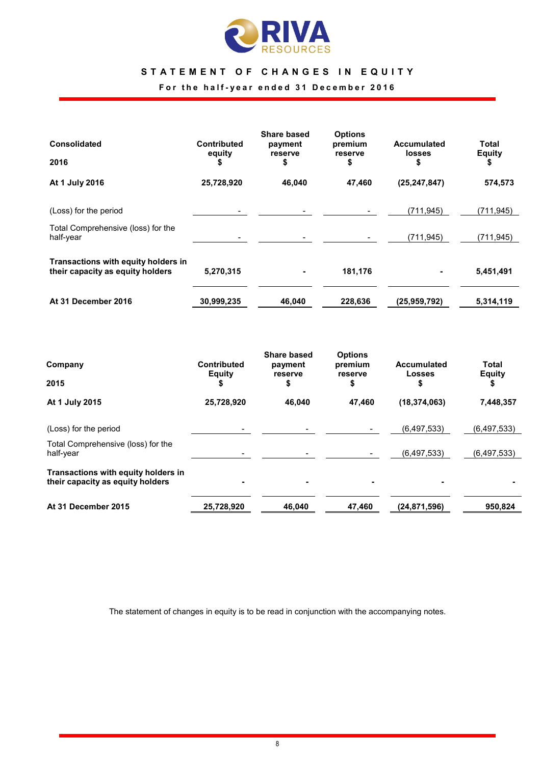

## STATEMENT OF CHANGES IN EQUITY

For the half-year ended 31 December 2016

| <b>Consolidated</b>                                                     | <b>Contributed</b><br>equity | Share based<br>payment<br>reserve | <b>Options</b><br>premium<br>reserve | <b>Accumulated</b><br><b>losses</b> | Total<br><b>Equity</b> |
|-------------------------------------------------------------------------|------------------------------|-----------------------------------|--------------------------------------|-------------------------------------|------------------------|
| 2016                                                                    |                              | \$                                | \$                                   | \$                                  | \$                     |
| At 1 July 2016                                                          | 25,728,920                   | 46,040                            | 47,460                               | (25, 247, 847)                      | 574,573                |
| (Loss) for the period                                                   |                              |                                   |                                      | (711.945)                           | (711.945)              |
| Total Comprehensive (loss) for the<br>half-year                         |                              |                                   |                                      | (711, 945)                          | (711.945)              |
| Transactions with equity holders in<br>their capacity as equity holders | 5,270,315                    |                                   | 181,176                              | ۰                                   | 5,451,491              |
| At 31 December 2016                                                     | 30,999,235                   | 46,040                            | 228,636                              | (25,959,792)                        | 5,314,119              |

| Company                                                                 | <b>Contributed</b><br><b>Equity</b> | Share based<br>payment<br>reserve | <b>Options</b><br>premium<br>reserve | <b>Accumulated</b><br>Losses | Total<br><b>Equity</b> |
|-------------------------------------------------------------------------|-------------------------------------|-----------------------------------|--------------------------------------|------------------------------|------------------------|
| 2015                                                                    |                                     | \$                                | \$                                   | \$                           | S                      |
| At 1 July 2015                                                          | 25,728,920                          | 46,040                            | 47.460                               | (18, 374, 063)               | 7,448,357              |
| (Loss) for the period                                                   |                                     |                                   |                                      | (6,497,533)                  | (6,497,533)            |
| Total Comprehensive (loss) for the<br>half-year                         |                                     |                                   |                                      | (6,497,533)                  | (6,497,533)            |
| Transactions with equity holders in<br>their capacity as equity holders |                                     |                                   |                                      |                              |                        |
| At 31 December 2015                                                     | 25,728,920                          | 46,040                            | 47,460                               | (24,871,596)                 | 950,824                |

The statement of changes in equity is to be read in conjunction with the accompanying notes.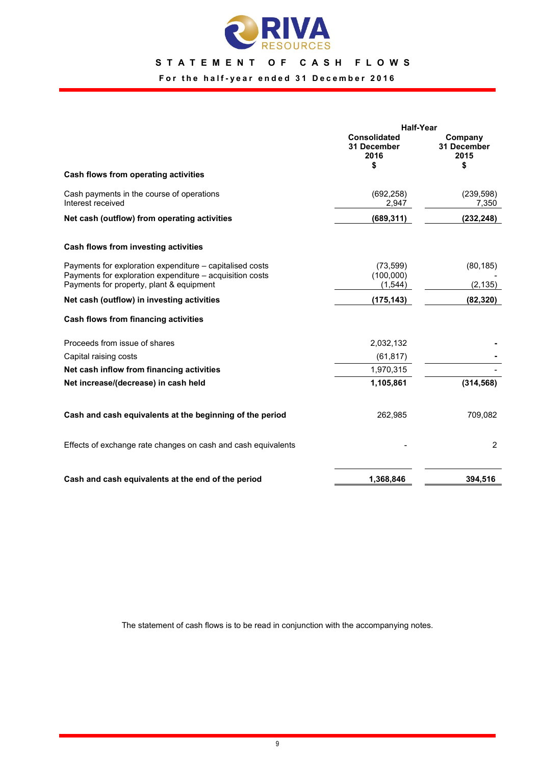

## STATEMENT OF CASH FLOWS

## For the half-year ended 31 December 2016

|                                                                                                                      | <b>Half-Year</b>                          |                                      |  |
|----------------------------------------------------------------------------------------------------------------------|-------------------------------------------|--------------------------------------|--|
|                                                                                                                      | Consolidated<br>31 December<br>2016<br>\$ | Company<br>31 December<br>2015<br>\$ |  |
| Cash flows from operating activities                                                                                 |                                           |                                      |  |
| Cash payments in the course of operations<br>Interest received                                                       | (692, 258)<br>2,947                       | (239, 598)<br>7,350                  |  |
| Net cash (outflow) from operating activities                                                                         | (689, 311)                                | (232, 248)                           |  |
| Cash flows from investing activities                                                                                 |                                           |                                      |  |
| Payments for exploration expenditure – capitalised costs<br>Payments for exploration expenditure – acquisition costs | (73, 599)<br>(100,000)                    | (80, 185)                            |  |
| Payments for property, plant & equipment                                                                             | (1, 544)                                  | (2, 135)                             |  |
| Net cash (outflow) in investing activities                                                                           | (175, 143)                                | (82, 320)                            |  |
| Cash flows from financing activities                                                                                 |                                           |                                      |  |
| Proceeds from issue of shares                                                                                        | 2,032,132                                 |                                      |  |
| Capital raising costs                                                                                                | (61, 817)                                 |                                      |  |
| Net cash inflow from financing activities                                                                            | 1,970,315                                 |                                      |  |
| Net increase/(decrease) in cash held                                                                                 | 1,105,861                                 | (314, 568)                           |  |
| Cash and cash equivalents at the beginning of the period                                                             | 262,985                                   | 709,082                              |  |
| Effects of exchange rate changes on cash and cash equivalents                                                        |                                           | 2                                    |  |
| Cash and cash equivalents at the end of the period                                                                   | 1,368,846                                 | 394,516                              |  |

The statement of cash flows is to be read in conjunction with the accompanying notes.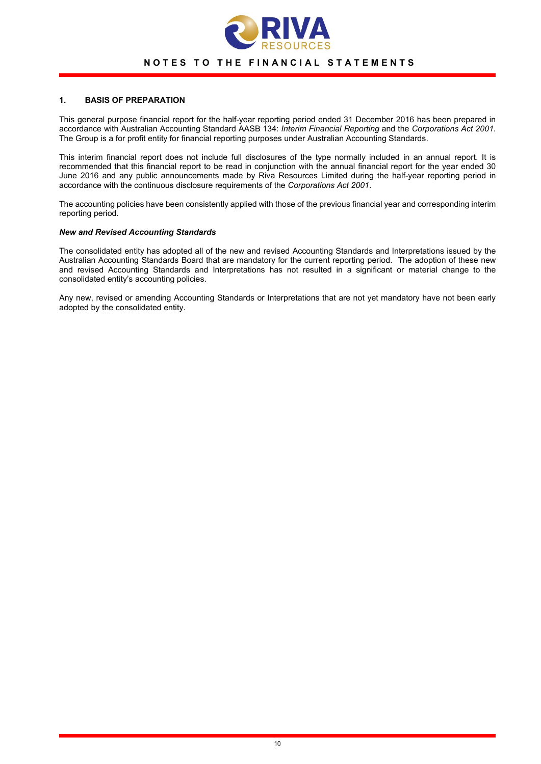

#### NOTES TO THE FINANCIAL STATEMENTS

#### 1. BASIS OF PREPARATION

This general purpose financial report for the half-year reporting period ended 31 December 2016 has been prepared in accordance with Australian Accounting Standard AASB 134: *Interim Financial Reporting* and the *Corporations Act 2001*. The Group is a for profit entity for financial reporting purposes under Australian Accounting Standards.

This interim financial report does not include full disclosures of the type normally included in an annual report. It is recommended that this financial report to be read in conjunction with the annual financial report for the year ended 30 June 2016 and any public announcements made by Riva Resources Limited during the half-year reporting period in accordance with the continuous disclosure requirements of the *Corporations Act 2001*.

The accounting policies have been consistently applied with those of the previous financial year and corresponding interim reporting period.

#### *New and Revised Accounting Standards*

The consolidated entity has adopted all of the new and revised Accounting Standards and Interpretations issued by the Australian Accounting Standards Board that are mandatory for the current reporting period. The adoption of these new and revised Accounting Standards and Interpretations has not resulted in a significant or material change to the consolidated entity's accounting policies.

Any new, revised or amending Accounting Standards or Interpretations that are not yet mandatory have not been early adopted by the consolidated entity.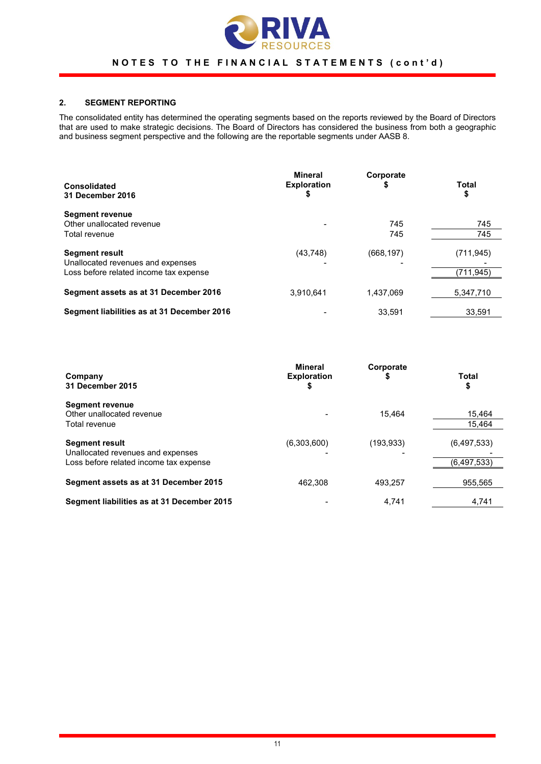

## 2. SEGMENT REPORTING

The consolidated entity has determined the operating segments based on the reports reviewed by the Board of Directors that are used to make strategic decisions. The Board of Directors has considered the business from both a geographic and business segment perspective and the following are the reportable segments under AASB 8.

| <b>Consolidated</b><br>31 December 2016                                                              | Mineral<br><b>Exploration</b><br>\$ | Corporate<br>\$ | Total<br>\$              |
|------------------------------------------------------------------------------------------------------|-------------------------------------|-----------------|--------------------------|
| <b>Segment revenue</b><br>Other unallocated revenue<br>Total revenue                                 |                                     | 745<br>745      | 745<br>745               |
| <b>Segment result</b><br>Unallocated revenues and expenses<br>Loss before related income tax expense | (43, 748)                           | (668, 197)      | (711, 945)<br>(711, 945) |
| Segment assets as at 31 December 2016                                                                | 3,910,641                           | 1,437,069       | 5,347,710                |
| Segment liabilities as at 31 December 2016                                                           |                                     | 33.591          | 33.591                   |

| Company<br>31 December 2015                                                                          | <b>Mineral</b><br><b>Exploration</b><br>\$ | Corporate<br>\$ | <b>Total</b><br>\$         |
|------------------------------------------------------------------------------------------------------|--------------------------------------------|-----------------|----------------------------|
| <b>Segment revenue</b><br>Other unallocated revenue<br>Total revenue                                 |                                            | 15.464          | 15,464<br>15.464           |
| <b>Segment result</b><br>Unallocated revenues and expenses<br>Loss before related income tax expense | (6,303,600)                                | (193, 933)      | (6,497,533)<br>(6,497,533) |
| Segment assets as at 31 December 2015                                                                | 462.308                                    | 493.257         | 955,565                    |
| Segment liabilities as at 31 December 2015                                                           |                                            | 4.741           | 4,741                      |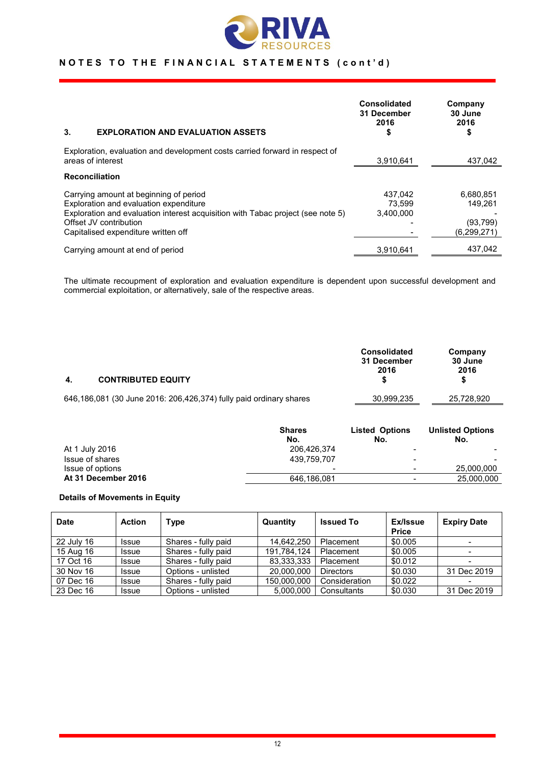

| 3.<br><b>EXPLORATION AND EVALUATION ASSETS</b>                                                                                                                                                                                       | <b>Consolidated</b><br>31 December<br>2016<br>\$ | Company<br>30 June<br>2016<br>\$                 |
|--------------------------------------------------------------------------------------------------------------------------------------------------------------------------------------------------------------------------------------|--------------------------------------------------|--------------------------------------------------|
| Exploration, evaluation and development costs carried forward in respect of<br>areas of interest                                                                                                                                     | 3,910,641                                        | 437,042                                          |
| <b>Reconciliation</b>                                                                                                                                                                                                                |                                                  |                                                  |
| Carrying amount at beginning of period<br>Exploration and evaluation expenditure<br>Exploration and evaluation interest acquisition with Tabac project (see note 5)<br>Offset JV contribution<br>Capitalised expenditure written off | 437,042<br>73.599<br>3.400.000                   | 6,680,851<br>149.261<br>(93, 799)<br>(6,299,271) |
| Carrying amount at end of period                                                                                                                                                                                                     | 3,910,641                                        | 437.042                                          |

The ultimate recoupment of exploration and evaluation expenditure is dependent upon successful development and commercial exploitation, or alternatively, sale of the respective areas.

| -4. | <b>CONTRIBUTED EQUITY</b>                                          | <b>Consolidated</b><br>31 December<br>2016 | Company<br>30 June<br>2016<br>S |
|-----|--------------------------------------------------------------------|--------------------------------------------|---------------------------------|
|     | 646,186,081 (30 June 2016: 206,426,374) fully paid ordinary shares | 30,999,235                                 | 25,728,920                      |

|                     | <b>Shares</b>            | <b>Listed Options</b>    | <b>Unlisted Options</b> |
|---------------------|--------------------------|--------------------------|-------------------------|
|                     | No.                      | No.                      | No.                     |
| At 1 July 2016      | 206,426,374              | -                        |                         |
| Issue of shares     | 439.759.707              | -                        |                         |
| Issue of options    | $\overline{\phantom{0}}$ | $\overline{\phantom{0}}$ | 25,000,000              |
| At 31 December 2016 | 646,186,081              |                          | 25,000,000              |

#### Details of Movements in Equity

| <b>Date</b> | <b>Action</b> | Type                | Quantity    | <b>Issued To</b> | Ex/Issue<br><b>Price</b> | <b>Expiry Date</b> |
|-------------|---------------|---------------------|-------------|------------------|--------------------------|--------------------|
| 22 July 16  | <b>Issue</b>  | Shares - fully paid | 14.642.250  | Placement        | \$0.005                  |                    |
| 15 Aug 16   | <b>Issue</b>  | Shares - fully paid | 191,784,124 | Placement        | \$0.005                  |                    |
| 17 Oct 16   | <b>Issue</b>  | Shares - fully paid | 83,333,333  | Placement        | \$0.012                  |                    |
| 30 Nov 16   | <b>Issue</b>  | Options - unlisted  | 20,000,000  | <b>Directors</b> | \$0.030                  | 31 Dec 2019        |
| 07 Dec 16   | <b>Issue</b>  | Shares - fully paid | 150,000,000 | Consideration    | \$0.022                  |                    |
| 23 Dec 16   | Issue         | Options - unlisted  | 5.000.000   | Consultants      | \$0.030                  | 31 Dec 2019        |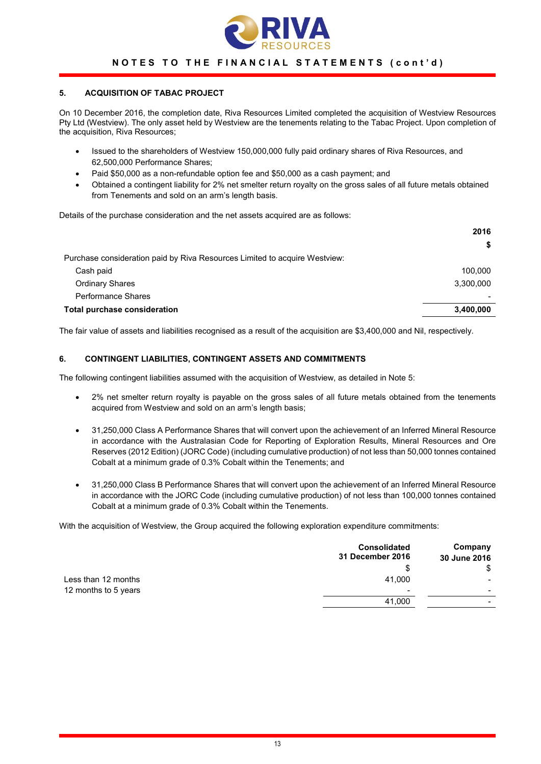

#### 5. ACQUISITION OF TABAC PROJECT

On 10 December 2016, the completion date, Riva Resources Limited completed the acquisition of Westview Resources Pty Ltd (Westview). The only asset held by Westview are the tenements relating to the Tabac Project. Upon completion of the acquisition, Riva Resources;

- Issued to the shareholders of Westview 150,000,000 fully paid ordinary shares of Riva Resources, and 62,500,000 Performance Shares;
- Paid \$50,000 as a non-refundable option fee and \$50,000 as a cash payment; and
- Obtained a contingent liability for 2% net smelter return royalty on the gross sales of all future metals obtained from Tenements and sold on an arm's length basis.

Details of the purchase consideration and the net assets acquired are as follows:

|                                                                            | 2016      |
|----------------------------------------------------------------------------|-----------|
|                                                                            | \$        |
| Purchase consideration paid by Riva Resources Limited to acquire Westview: |           |
| Cash paid                                                                  | 100.000   |
| <b>Ordinary Shares</b>                                                     | 3,300,000 |
| Performance Shares                                                         |           |
| Total purchase consideration                                               | 3,400,000 |
|                                                                            |           |

The fair value of assets and liabilities recognised as a result of the acquisition are \$3,400,000 and Nil, respectively.

#### 6. CONTINGENT LIABILITIES, CONTINGENT ASSETS AND COMMITMENTS

The following contingent liabilities assumed with the acquisition of Westview, as detailed in Note 5:

- 2% net smelter return royalty is payable on the gross sales of all future metals obtained from the tenements acquired from Westview and sold on an arm's length basis;
- 31,250,000 Class A Performance Shares that will convert upon the achievement of an Inferred Mineral Resource in accordance with the Australasian Code for Reporting of Exploration Results, Mineral Resources and Ore Reserves (2012 Edition) (JORC Code) (including cumulative production) of not less than 50,000 tonnes contained Cobalt at a minimum grade of 0.3% Cobalt within the Tenements; and
- 31,250,000 Class B Performance Shares that will convert upon the achievement of an Inferred Mineral Resource in accordance with the JORC Code (including cumulative production) of not less than 100,000 tonnes contained Cobalt at a minimum grade of 0.3% Cobalt within the Tenements.

With the acquisition of Westview, the Group acquired the following exploration expenditure commitments:

|                      | <b>Consolidated</b><br>31 December 2016 | Company<br>30 June 2016  |
|----------------------|-----------------------------------------|--------------------------|
|                      | S                                       | \$                       |
| Less than 12 months  | 41,000                                  |                          |
| 12 months to 5 years | $\overline{\phantom{0}}$                | $\overline{\phantom{0}}$ |
|                      | 41,000                                  | -                        |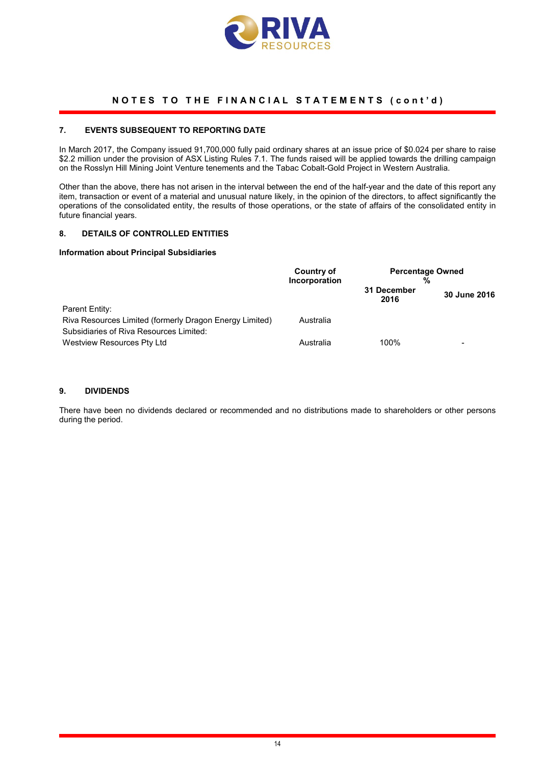

#### 7. EVENTS SUBSEQUENT TO REPORTING DATE

In March 2017, the Company issued 91,700,000 fully paid ordinary shares at an issue price of \$0.024 per share to raise \$2.2 million under the provision of ASX Listing Rules 7.1. The funds raised will be applied towards the drilling campaign on the Rosslyn Hill Mining Joint Venture tenements and the Tabac Cobalt-Gold Project in Western Australia.

Other than the above, there has not arisen in the interval between the end of the half-year and the date of this report any item, transaction or event of a material and unusual nature likely, in the opinion of the directors, to affect significantly the operations of the consolidated entity, the results of those operations, or the state of affairs of the consolidated entity in future financial years.

#### 8. DETAILS OF CONTROLLED ENTITIES

#### Information about Principal Subsidiaries

|                                                                                                    | Country of<br>Incorporation | <b>Percentage Owned</b><br>% |              |  |
|----------------------------------------------------------------------------------------------------|-----------------------------|------------------------------|--------------|--|
|                                                                                                    |                             | 31 December<br>2016          | 30 June 2016 |  |
| Parent Entity:                                                                                     |                             |                              |              |  |
| Riva Resources Limited (formerly Dragon Energy Limited)<br>Subsidiaries of Riva Resources Limited: | Australia                   |                              |              |  |
| Westview Resources Pty Ltd                                                                         | Australia                   | 100%                         | -            |  |

#### 9. DIVIDENDS

There have been no dividends declared or recommended and no distributions made to shareholders or other persons during the period.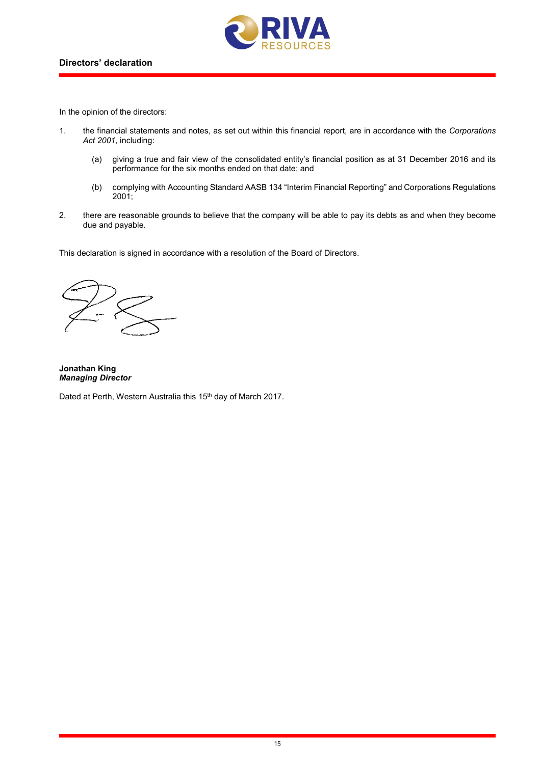

In the opinion of the directors:

- 1. the financial statements and notes, as set out within this financial report, are in accordance with the *Corporations Act 2001*, including:
	- (a) giving a true and fair view of the consolidated entity's financial position as at 31 December 2016 and its performance for the six months ended on that date; and
	- (b) complying with Accounting Standard AASB 134 "Interim Financial Reporting" and Corporations Regulations 2001;
- 2. there are reasonable grounds to believe that the company will be able to pay its debts as and when they become due and payable.

This declaration is signed in accordance with a resolution of the Board of Directors.

Jonathan King *Managing Director*

Dated at Perth, Western Australia this 15<sup>th</sup> day of March 2017.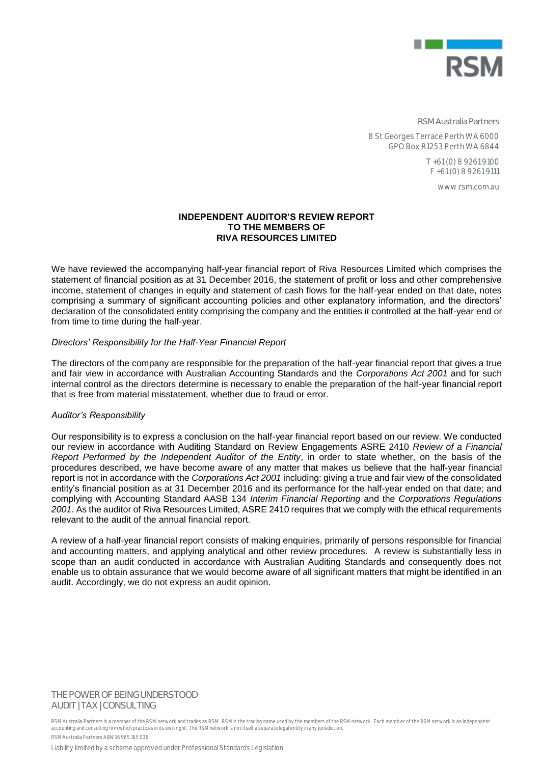

**RSM Australia Partners**

8 St Georges Terrace Perth WA 6000 GPO Box R1253 Perth WA 6844

> T +61 (0) 8 9261 9100 F +61 (0) 8 9261 9111

> > www.rsm.com.au

#### **INDEPENDENT AUDITOR'S REVIEW REPORT TO THE MEMBERS OF RIVA RESOURCES LIMITED**

We have reviewed the accompanying half-year financial report of Riva Resources Limited which comprises the statement of financial position as at 31 December 2016, the statement of profit or loss and other comprehensive income, statement of changes in equity and statement of cash flows for the half-year ended on that date, notes comprising a summary of significant accounting policies and other explanatory information, and the directors' declaration of the consolidated entity comprising the company and the entities it controlled at the half-year end or from time to time during the half-year.

#### *Directors' Responsibility for the Half-Year Financial Report*

The directors of the company are responsible for the preparation of the half-year financial report that gives a true and fair view in accordance with Australian Accounting Standards and the *Corporations Act 2001* and for such internal control as the directors determine is necessary to enable the preparation of the half-year financial report that is free from material misstatement, whether due to fraud or error.

#### *Auditor's Responsibility*

Our responsibility is to express a conclusion on the half-year financial report based on our review. We conducted our review in accordance with Auditing Standard on Review Engagements ASRE 2410 *Review of a Financial Report Performed by the Independent Auditor of the Entity*, in order to state whether, on the basis of the procedures described, we have become aware of any matter that makes us believe that the half-year financial report is not in accordance with the *Corporations Act 2001* including: giving a true and fair view of the consolidated entity's financial position as at 31 December 2016 and its performance for the half-year ended on that date; and complying with Accounting Standard AASB 134 *Interim Financial Reporting* and the *Corporations Regulations 2001*. As the auditor of Riva Resources Limited, ASRE 2410 requires that we comply with the ethical requirements relevant to the audit of the annual financial report.

A review of a half-year financial report consists of making enquiries, primarily of persons responsible for financial and accounting matters, and applying analytical and other review procedures. A review is substantially less in scope than an audit conducted in accordance with Australian Auditing Standards and consequently does not enable us to obtain assurance that we would become aware of all significant matters that might be identified in an audit. Accordingly, we do not express an audit opinion.

**THE POWER OF BEING UNDERSTOOD** AUDIT | TAX | CONSULTING

RSM Australia Partners is a member of the RSM network and trades as RSM. RSM is the trading name used by the members of the RSM network. Each member of the RSM network is an independent accounting and consulting firm which practices in its own right. The RSM network is not itself a separate legal entity in any jurisdiction. RSM Australia Partners ABN 36 965 185 036

Liability limited by a scheme approved under Professional Standards Legislation